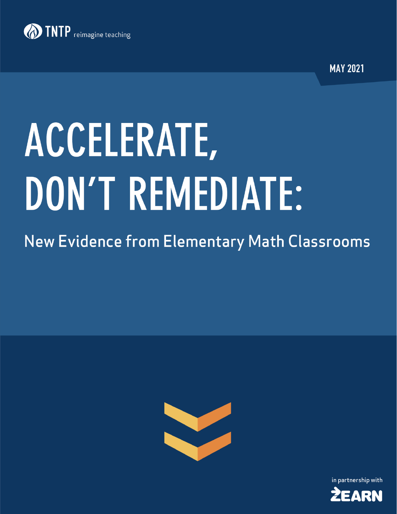

**MAY 2021** 

# ACCELERATE, DON'T REMEDIATE:

# **New Evidence from Elementary Math Classrooms**



in partnership with

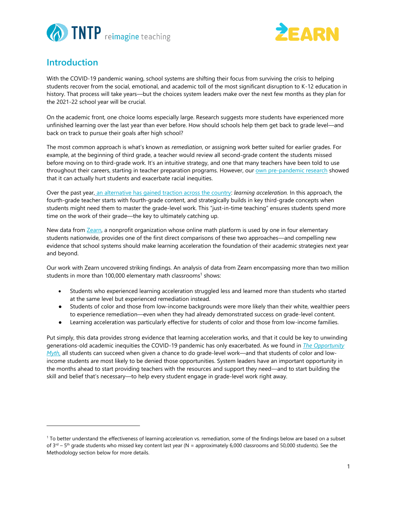



## **Introduction**

With the COVID-19 pandemic waning, school systems are shifting their focus from surviving the crisis to helping students recover from the social, emotional, and academic toll of the most significant disruption to K-12 education in history. That process will take years—but the choices system leaders make over the next few months as they plan for the 2021-22 school year will be crucial.

On the academic front, one choice looms especially large. Research suggests more students have experienced more unfinished learning over the last year than ever before. How should schools help them get back to grade level—and back on track to pursue their goals after high school?

The most common approach is what's known as *remediation*, or assigning work better suited for earlier grades. For example, at the beginning of third grade, a teacher would review all second-grade content the students missed before moving on to third-grade work. It's an intuitive strategy, and one that many teachers have been told to use throughout their careers, starting in teacher preparation programs. However, our [own pre-pandemic research](https://opportunitymyth.tntp.org/) showed that it can actually hurt students and exacerbate racial inequities.

Over the past year, [an alternative has gained traction across the country:](https://www.vox.com/22380650/school-remote-distance-learning-pandemic-covid-19) *learning acceleration.* In this approach, the fourth-grade teacher starts with fourth-grade content, and strategically builds in key third-grade concepts when students might need them to master the grade-level work. This "just-in-time teaching" ensures students spend more time on the work of their grade—the key to ultimately catching up.

New data from [Zearn,](https://about.zearn.org/) a nonprofit organization whose online math platform is used by one in four elementary students nationwide, provides one of the first direct comparisons of these two approaches—and compelling new evidence that school systems should make learning acceleration the foundation of their academic strategies next year and beyond.

Our work with Zearn uncovered striking findings. An analysis of data from Zearn encompassing more than two million students in more than 100,000 elementary math classrooms<sup>1</sup> shows:

- Students who experienced learning acceleration struggled less and learned more than students who started at the same level but experienced remediation instead.
- Students of color and those from low-income backgrounds were more likely than their white, wealthier peers to experience remediation—even when they had already demonstrated success on grade-level content.
- Learning acceleration was particularly effective for students of color and those from low-income families.

Put simply, this data provides strong evidence that learning acceleration works, and that it could be key to unwinding generations-old academic inequities the COVID-19 pandemic has only exacerbated. As we found in *[The Opportunity](https://opportunitymyth.tntp.org/)  [Myth,](https://opportunitymyth.tntp.org/)* all students can succeed when given a chance to do grade-level work—and that students of color and lowincome students are most likely to be denied those opportunities. System leaders have an important opportunity in the months ahead to start providing teachers with the resources and support they need—and to start building the skill and belief that's necessary—to help every student engage in grade-level work right away.

<sup>&</sup>lt;sup>1</sup> To better understand the effectiveness of learning acceleration vs. remediation, some of the findings below are based on a subset of 3<sup>rd</sup> – 5<sup>th</sup> grade students who missed key content last year (N = approximately 6,000 classrooms and 50,000 students). See the Methodology section below for more details.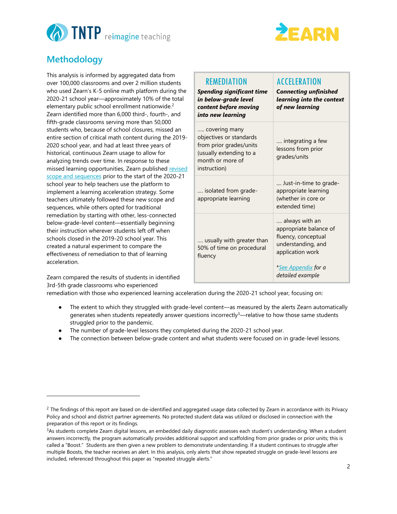



# **Methodology**

This analysis is informed by aggregated data from over 100,000 classrooms and over 2 million students who used Zearn's K-5 online math platform during the 2020-21 school year—approximately 10% of the total elementary public school enrollment nationwide.<sup>2</sup> Zearn identified more than 6,000 third-, fourth-, and fifth-grade classrooms serving more than 50,000 students who, because of school closures, missed an entire section of critical math content during the 2019- 2020 school year, and had at least three years of historical, continuous Zearn usage to allow for analyzing trends over time. In response to these missed learning opportunities, Zearn published revised [scope and sequences](https://about.zearn.org/learning-recovery-scope-and-sequences-downloads) prior to the start of the 2020-21 school year to help teachers use the platform to implement a learning acceleration strategy. Some teachers ultimately followed these new scope and sequences, while others opted for traditional remediation by starting with other, less-connected below-grade-level content—essentially beginning their instruction wherever students left off when schools closed in the 2019-20 school year. This created a natural experiment to compare the effectiveness of remediation to that of learning acceleration.

Zearn compared the results of students in identified 3rd-5th grade classrooms who experienced

| REMEDIATION<br><b>Spending significant time</b><br>in below-grade level<br>content before moving<br>into new learning              | <b>ACCELERATION</b><br><b>Connecting unfinished</b><br>learning into the context<br>of new learning                                                          |  |
|------------------------------------------------------------------------------------------------------------------------------------|--------------------------------------------------------------------------------------------------------------------------------------------------------------|--|
| covering many<br>objectives or standards<br>from prior grades/units<br>(usually extending to a<br>month or more of<br>instruction) | integrating a few<br>lessons from prior<br>grades/units                                                                                                      |  |
| isolated from grade-<br>appropriate learning                                                                                       | Just-in-time to grade-<br>appropriate learning<br>(whether in core or<br>extended time)                                                                      |  |
| usually with greater than<br>50% of time on procedural<br>fluency                                                                  | always with an<br>appropriate balance of<br>fluency, conceptual<br>understanding, and<br>application work<br>* <u>See Appendix</u> for a<br>detailed example |  |

remediation with those who experienced learning acceleration during the 2020-21 school year, focusing on:

- The extent to which they struggled with grade-level content—as measured by the alerts Zearn automatically generates when students repeatedly answer questions incorrectly<sup>3</sup>—relative to how those same students struggled prior to the pandemic.
- The number of grade-level lessons they completed during the 2020-21 school year.
- The connection between below-grade content and what students were focused on in grade-level lessons.

 $2$  The findings of this report are based on de-identified and aggregated usage data collected by Zearn in accordance with its Privacy Policy and school and district partner agreements. No protected student data was utilized or disclosed in connection with the preparation of this report or its findings.

<sup>&</sup>lt;sup>3</sup>As students complete Zearn digital lessons, an embedded daily diagnostic assesses each student's understanding. When a student answers incorrectly, the program automatically provides additional support and scaffolding from prior grades or prior units; this is called a "Boost." Students are then given a new problem to demonstrate understanding. If a student continues to struggle after multiple Boosts, the teacher receives an alert. In this analysis, only alerts that show repeated struggle on grade-level lessons are included, referenced throughout this paper as "repeated struggle alerts."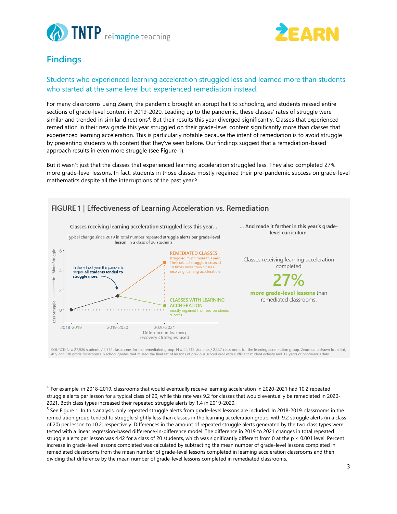



# **Findings**

#### Students who experienced learning acceleration struggled less and learned more than students who started at the same level but experienced remediation instead.

For many classrooms using Zearn, the pandemic brought an abrupt halt to schooling, and students missed entire sections of grade-level content in 2019-2020. Leading up to the pandemic, these classes' rates of struggle were similar and trended in similar directions<sup>4</sup>. But their results this year diverged significantly. Classes that experienced remediation in their new grade this year struggled on their grade-level content significantly more than classes that experienced learning acceleration. This is particularly notable because the intent of remediation is to avoid struggle by presenting students with content that they've seen before. Our findings suggest that a remediation-based approach results in even more struggle (see Figure 1).

But it wasn't just that the classes that experienced learning acceleration struggled less. They also completed 27% more grade-level lessons. In fact, students in those classes mostly regained their pre-pandemic success on grade-level mathematics despite all the interruptions of the past year.<sup>5</sup>



SOURCE: N = 27,926 students / 3,742 classrooms for the remediated group. N = 22,713 students / 2,337 classrooms for the learning acceleration group. Zearn data drawn from 3rd, 4th, and 5th grade classrooms in school grades that missed the final set of lessons of previous school year with sufficient student activity and 3+ years of continuous data

<sup>4</sup> For example, in 2018-2019, classrooms that would eventually receive learning acceleration in 2020-2021 had 10.2 repeated struggle alerts per lesson for a typical class of 20, while this rate was 9.2 for classes that would eventually be remediated in 2020- 2021. Both class types increased their repeated struggle alerts by 1.4 in 2019-2020.

<sup>&</sup>lt;sup>5</sup> See Figure 1. In this analysis, only repeated struggle alerts from grade-level lessons are included. In 2018-2019, classrooms in the remediation group tended to struggle slightly less than classes in the learning acceleration group, with 9.2 struggle alerts (in a class of 20) per lesson to 10.2, respectively. Differences in the amount of repeated struggle alerts generated by the two class types were tested with a linear regression-based difference-in-difference model. The difference in 2019 to 2021 changes in total repeated struggle alerts per lesson was 4.42 for a class of 20 students, which was significantly different from 0 at the p < 0.001 level. Percent increase in grade-level lessons completed was calculated by subtracting the mean number of grade-level lessons completed in remediated classrooms from the mean number of grade-level lessons completed in learning acceleration classrooms and then dividing that difference by the mean number of grade-level lessons completed in remediated classrooms.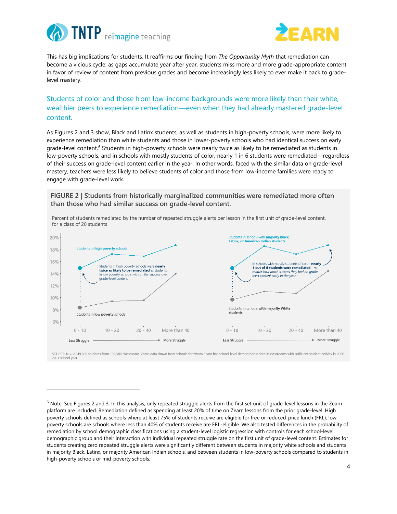



This has big implications for students. It reaffirms our finding from *The Opportunity Myth* that remediation can become a vicious cycle: as gaps accumulate year after year, students miss more and more grade-appropriate content in favor of review of content from previous grades and become increasingly less likely to ever make it back to gradelevel mastery.

#### Students of color and those from low-income backgrounds were more likely than their white, wealthier peers to experience remediation—even when they had already mastered grade-level content.

As Figures 2 and 3 show, Black and Latinx students, as well as students in high-poverty schools, were more likely to experience remediation than white students and those in lower-poverty schools who had identical success on early grade-level content.<sup>6</sup> Students in high-poverty schools were nearly twice as likely to be remediated as students in low-poverty schools, and in schools with mostly students of color, nearly 1 in 6 students were remediated—regardless of their success on grade-level content earlier in the year. In other words, faced with the similar data on grade-level mastery, teachers were less likely to believe students of color and those from low-income families were ready to engage with grade-level work.

FIGURE 2 | Students from historically marginalized communities were remediated more often than those who had similar success on grade-level content.



Percent of students remediated by the number of repeated struggle alerts per lesson in the first unit of grade-level content, for a class of 20 students

SOURCE: N = 2,249,669 students from 102,580 classrooms. Zearn data drawn from schools for whom Zearn has school-level demographic data in classrooms with sufficient student activity in 2020-2021 school year

 $6$  Note: See Figures 2 and 3. In this analysis, only repeated struggle alerts from the first set unit of grade-level lessons in the Zearn platform are included. Remediation defined as spending at least 20% of time on Zearn lessons from the prior grade-level. High poverty schools defined as schools where at least 75% of students receive are eligible for free or reduced-price lunch (FRL); low poverty schools are schools where less than 40% of students receive are FRL-eligible. We also tested differences in the probability of remediation by school demographic classifications using a student-level logistic regression with controls for each school-level demographic group and their interaction with individual repeated struggle rate on the first unit of grade-level content. Estimates for students creating zero repeated struggle alerts were significantly different between students in majority white schools and students in majority Black, Latinx, or majority American Indian schools, and between students in low-poverty schools compared to students in high-poverty schools or mid-poverty schools.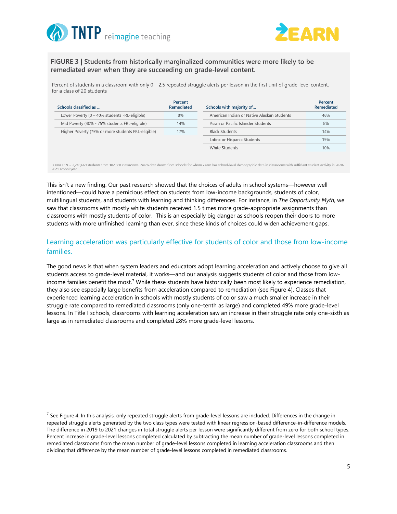



FIGURE 3 | Students from historically marginalized communities were more likely to be remediated even when they are succeeding on grade-level content.

Percent of students in a classroom with only  $0 - 2.5$  repeated struggle alerts per lesson in the first unit of grade-level content, for a class of 20 students

| Schools classified as                                                                                                                                                                                               | Percent<br>Remediated | Schools with majority of                   | Percent<br>Remediated |
|---------------------------------------------------------------------------------------------------------------------------------------------------------------------------------------------------------------------|-----------------------|--------------------------------------------|-----------------------|
| Lower Poverty $(0 - 40\%$ students FRL-eligible)                                                                                                                                                                    | 8%                    | American Indian or Native Alaskan Students | 46%                   |
| Mid Poverty (40% - 75% students FRL-eligible)                                                                                                                                                                       | 14%                   | Asian or Pacific Islander Students         | 8%                    |
| Higher Poverty (75% or more students FRL-eligible)                                                                                                                                                                  | 17%                   | <b>Black Students</b>                      | 14%                   |
|                                                                                                                                                                                                                     |                       | Latinx or Hispanic Students                | 19%                   |
|                                                                                                                                                                                                                     |                       | White Students                             | 10%                   |
| SOURCE: N = 2,249,669 students from 102,580 classrooms. Zearn data drawn from schools for whom Zearn has school-level demographic data in classrooms with sufficient student activity in 2020-<br>2021 school year. |                       |                                            |                       |

This isn't a new finding. Our past research showed that the choices of adults in school systems—however well intentioned—could have a pernicious effect on students from low-income backgrounds, students of color, multilingual students, and students with learning and thinking differences. For instance, in *The Opportunity Myth,* we saw that classrooms with mostly white students received 1.5 times more grade-appropriate assignments than classrooms with mostly students of color. This is an especially big danger as schools reopen their doors to more students with more unfinished learning than ever, since these kinds of choices could widen achievement gaps.

#### Learning acceleration was particularly effective for students of color and those from low-income families.

The good news is that when system leaders and educators adopt learning acceleration and actively choose to give all students access to grade-level material, it works—and our analysis suggests students of color and those from lowincome families benefit the most.<sup>7</sup> While these students have historically been most likely to experience remediation, they also see especially large benefits from acceleration compared to remediation (see Figure 4). Classes that experienced learning acceleration in schools with mostly students of color saw a much smaller increase in their struggle rate compared to remediated classrooms (only one-tenth as large) and completed 49% more grade-level lessons. In Title I schools, classrooms with learning acceleration saw an increase in their struggle rate only one-sixth as large as in remediated classrooms and completed 28% more grade-level lessons.

 $^7$  See Figure 4. In this analysis, only repeated struggle alerts from grade-level lessons are included. Differences in the change in repeated struggle alerts generated by the two class types were tested with linear regression-based difference-in-difference models. The difference in 2019 to 2021 changes in total struggle alerts per lesson were significantly different from zero for both school types. Percent increase in grade-level lessons completed calculated by subtracting the mean number of grade-level lessons completed in remediated classrooms from the mean number of grade-level lessons completed in learning acceleration classrooms and then dividing that difference by the mean number of grade-level lessons completed in remediated classrooms.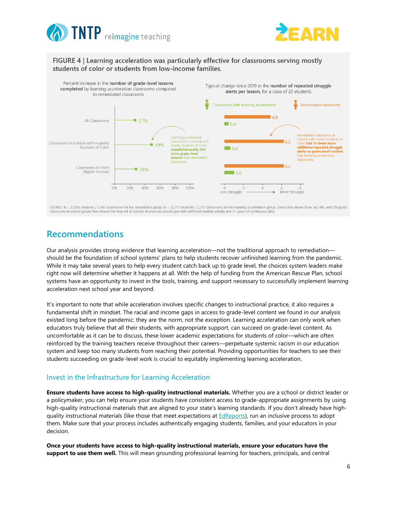



#### FIGURE 4 | Learning acceleration was particularly effective for classrooms serving mostly students of color or students from low-income families.



SOURCE: N = 27,926 students / 3,742 classrooms for the remediated group. N = 22,713 students / 2,337 classrooms for the learning acceleration group. Zeam data drawn from 3rd, 4th, and 5th grade classrooms in school grades that missed the final set of lessons of previous school year with sufficient student activity and 3+ years of continuous data

## **Recommendations**

Our analysis provides strong evidence that learning acceleration—not the traditional approach to remediation should be the foundation of school systems' plans to help students recover unfinished learning from the pandemic. While it may take several years to help every student catch back up to grade level, the choices system leaders make right now will determine whether it happens at all. With the help of funding from the American Rescue Plan, school systems have an opportunity to invest in the tools, training, and support necessary to successfully implement learning acceleration next school year and beyond.

It's important to note that while acceleration involves specific changes to instructional practice, it also requires a fundamental shift in mindset. The racial and income gaps in access to grade-level content we found in our analysis existed long before the pandemic: they are the norm, not the exception. Learning acceleration can only work when educators truly believe that all their students, with appropriate support, can succeed on grade-level content. As uncomfortable as it can be to discuss, these lower academic expectations for students of color—which are often reinforced by the training teachers receive throughout their careers—perpetuate systemic racism in our education system and keep too many students from reaching their potential. Providing opportunities for teachers to see their students succeeding on grade-level work is crucial to equitably implementing learning acceleration.

#### Invest in the Infrastructure for Learning Acceleration

**Ensure students have access to high-quality instructional materials.** Whether you are a school or district leader or a policymaker, you can help ensure your students have consistent access to grade-appropriate assignments by using high-quality instructional materials that are aligned to your state's learning standards. If you don't already have high-quality instructional materials (like those that meet expectations at [EdReports\)](https://www.edreports.org/), run an inclusive process to adopt them. Make sure that your process includes authentically engaging students, families, and your educators in your decision.

**Once your students have access to high-quality instructional materials, ensure your educators have the support to use them well.** This will mean grounding professional learning for teachers, principals, and central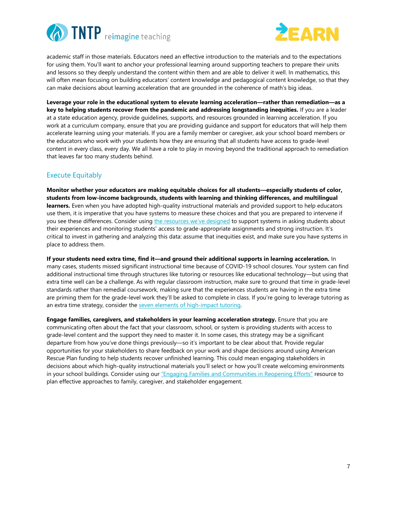



academic staff in those materials. Educators need an effective introduction to the materials and to the expectations for using them. You'll want to anchor your professional learning around supporting teachers to prepare their units and lessons so they deeply understand the content within them and are able to deliver it well. In mathematics, this will often mean focusing on building educators' content knowledge and pedagogical content knowledge, so that they can make decisions about learning acceleration that are grounded in the coherence of math's big ideas.

**Leverage your role in the educational system to elevate learning acceleration—rather than remediation—as a key to helping students recover from the pandemic and addressing longstanding inequities.** If you are a leader at a state education agency, provide guidelines, supports, and resources grounded in learning acceleration. If you work at a curriculum company, ensure that you are providing guidance and support for educators that will help them accelerate learning using your materials. If you are a family member or caregiver, ask your school board members or the educators who work with your students how they are ensuring that all students have access to grade-level content in every class, every day. We all have a role to play in moving beyond the traditional approach to remediation that leaves far too many students behind.

#### Execute Equitably

**Monitor whether your educators are making equitable choices for all students—especially students of color, students from low-income backgrounds, students with learning and thinking differences, and multilingual learners.** Even when you have adopted high-quality instructional materials and provided support to help educators use them, it is imperative that you have systems to measure these choices and that you are prepared to intervene if you see these differences. Consider using [the resources we've designed](https://tntp.org/student-experience-toolkit/view/student-experience-assessment-guide) to support systems in asking students about their experiences and monitoring students' access to grade-appropriate assignments and strong instruction. It's critical to invest in gathering and analyzing this data: assume that inequities exist, and make sure you have systems in place to address them.

**If your students need extra time, find it—and ground their additional supports in learning acceleration.** In many cases, students missed significant instructional time because of COVID-19 school closures. Your system can find additional instructional time through structures like tutoring or resources like educational technology—but using that extra time well can be a challenge. As with regular classroom instruction, make sure to ground that time in grade-level standards rather than remedial coursework, making sure that the experiences students are having in the extra time are priming them for the grade-level work they'll be asked to complete in class. If you're going to leverage tutoring as an extra time strategy, consider the [seven elements of high-impact tutoring.](https://studentsupportaccelerator.com/tutoring)

**Engage families, caregivers, and stakeholders in your learning acceleration strategy.** Ensure that you are communicating often about the fact that your classroom, school, or system is providing students with access to grade-level content and the support they need to master it. In some cases, this strategy may be a significant departure from how you've done things previously—so it's important to be clear about that. Provide regular opportunities for your stakeholders to share feedback on your work and shape decisions around using American Rescue Plan funding to help students recover unfinished learning. This could mean engaging stakeholders in decisions about which high-quality instructional materials you'll select or how you'll create welcoming environments in your school buildings. Consider using our ["Engaging Families and Communities in Reopening Efforts"](https://tntp.org/covid-19-school-response-toolkit/view/engaging-families-and-community-partners-in-reopening-efforts) resource to plan effective approaches to family, caregiver, and stakeholder engagement.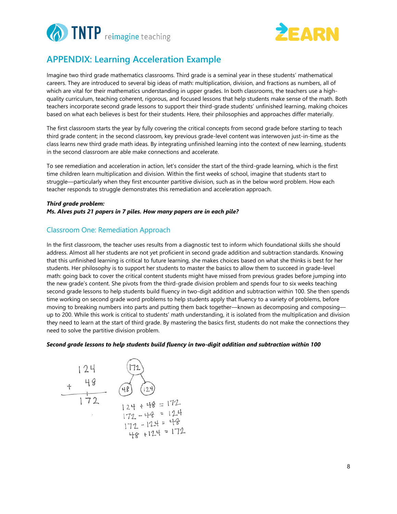



# **APPENDIX: Learning Acceleration Example**

Imagine two third grade mathematics classrooms. Third grade is a seminal year in these students' mathematical careers. They are introduced to several big ideas of math: multiplication, division, and fractions as numbers, all of which are vital for their mathematics understanding in upper grades. In both classrooms, the teachers use a highquality curriculum, teaching coherent, rigorous, and focused lessons that help students make sense of the math. Both teachers incorporate second grade lessons to support their third-grade students' unfinished learning, making choices based on what each believes is best for their students. Here, their philosophies and approaches differ materially.

The first classroom starts the year by fully covering the critical concepts from second grade before starting to teach third grade content; in the second classroom, key previous grade-level content was interwoven just-in-time as the class learns new third grade math ideas. By integrating unfinished learning into the context of new learning, students in the second classroom are able make connections and accelerate.

To see remediation and acceleration in action, let's consider the start of the third-grade learning, which is the first time children learn multiplication and division. Within the first weeks of school, imagine that students start to struggle—particularly when they first encounter partitive division, such as in the below word problem. How each teacher responds to struggle demonstrates this remediation and acceleration approach.

#### *Third grade problem: Ms. Alves puts 21 papers in 7 piles. How many papers are in each pile?*

#### Classroom One: Remediation Approach

In the first classroom, the teacher uses results from a diagnostic test to inform which foundational skills she should address. Almost all her students are not yet proficient in second grade addition and subtraction standards. Knowing that this unfinished learning is critical to future learning, she makes choices based on what she thinks is best for her students. Her philosophy is to support her students to master the basics to allow them to succeed in grade-level math: going back to cover the critical content students might have missed from previous grades before jumping into the new grade's content. She pivots from the third-grade division problem and spends four to six weeks teaching second grade lessons to help students build fluency in two-digit addition and subtraction within 100. She then spends time working on second grade word problems to help students apply that fluency to a variety of problems, before moving to breaking numbers into parts and putting them back together—known as decomposing and composing up to 200. While this work is critical to students' math understanding, it is isolated from the multiplication and division they need to learn at the start of third grade. By mastering the basics first, students do not make the connections they need to solve the partitive division problem.

#### *Second grade lessons to help students build fluency in two-digit addition and subtraction within 100*

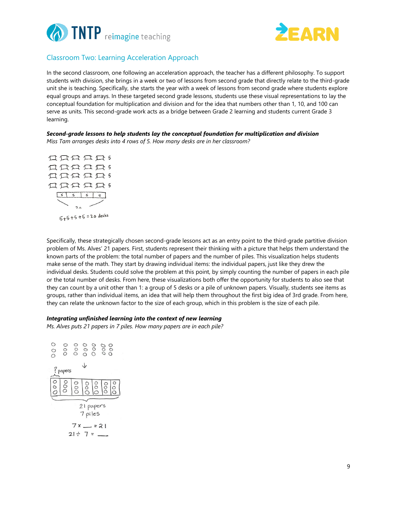



#### Classroom Two: Learning Acceleration Approach

In the second classroom, one following an acceleration approach, the teacher has a different philosophy. To support students with division, she brings in a week or two of lessons from second grade that directly relate to the third-grade unit she is teaching. Specifically, she starts the year with a week of lessons from second grade where students explore equal groups and arrays. In these targeted second grade lessons, students use these visual representations to lay the conceptual foundation for multiplication and division and for the idea that numbers other than 1, 10, and 100 can serve as units. This second-grade work acts as a bridge between Grade 2 learning and students current Grade 3 learning.

#### *Second-grade lessons to help students lay the conceptual foundation for multiplication and division*

*Miss Tam arranges desks into 4 rows of 5. How many desks are in her classroom?*



Specifically, these strategically chosen second-grade lessons act as an entry point to the third-grade partitive division problem of Ms. Alves' 21 papers. First, students represent their thinking with a picture that helps them understand the known parts of the problem: the total number of papers and the number of piles. This visualization helps students make sense of the math. They start by drawing individual items: the individual papers, just like they drew the individual desks. Students could solve the problem at this point, by simply counting the number of papers in each pile or the total number of desks. From here, these visualizations both offer the opportunity for students to also see that they can count by a unit other than 1: a group of 5 desks or a pile of unknown papers. Visually, students see items as groups, rather than individual items, an idea that will help them throughout the first big idea of 3rd grade. From here, they can relate the unknown factor to the size of each group, which in this problem is the size of each pile.

#### *Integrating unfinished learning into the context of new learning*

*Ms. Alves puts 21 papers in 7 piles. How many papers are in each pile?*